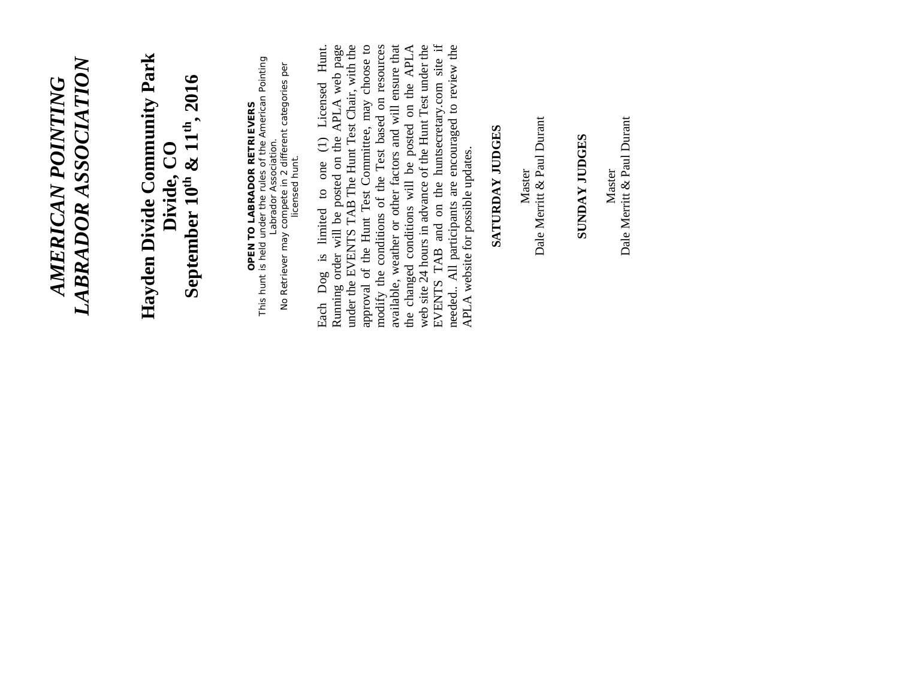### LABRADOR ASSOCIATION *LABRADOR ASSOCIATION AMERICAN POINTING*  **AMERICAN POINTING**

## Hayden Divide Community Park **Hayden Divide Community Park** Divide, CO<br>September 10<sup>th</sup> & 11<sup>th</sup>, 2016 **September 10th & 11th, 2016**

**OPEN TO LABRADOR RETRIEVERS**<br>This hunt is held under the rules of the American Pointing<br>Labrador Association.<br>No Retriever may compete in 2 different categories per This hunt is held under the rules of the American Pointing No Retriever may compete in 2 different categories per **OPEN TO LABRADOR RETRIEVERS**  Labrador Association. licensed hunt. licensed hunt.

Running order will be posted on the APLA web page<br>under the EVENTS TAB The Hunt Test Chair, with the Running order will be posted on the APLA web page under the EVENTS TAB The Hunt Test Chair, with the approval of the Hunt Test Committee, may choose to modify the conditions of the Test based on resources available, weather or other factors and will ensure that the changed conditions will be posted on the APLA web site 24 hours in advance of the Hunt Test under the EVENTS TAB and on the huntsecretary.com site if needed.. All participants are encouraged to review the approval of the Hunt Test Committee, may choose to modify the conditions of the Test based on resources the changed conditions will be posted on the APLA web site 24 hours in advance of the Hunt Test under the meeded.. All participants are encouraged to review the APLA website for possible updates. Each Dog is limited to one (1) Licensed Hunt. available, weather or other factors and will ensure that EVENTS TAB and on the huntsecretary.com site if Each Dog is limited to one (1) Licensed Hunt. APLA website for possible updates.

#### SATURDAY JUDGES **SATURDAY JUDGES**

Master<br>Dale Merritt & Paul Durant Dale Merritt & Paul Durant

#### **SUNDAY JUDGES SUNDAY JUDGES**

Dale Merritt & Paul Durant Dale Merritt & Paul Durant Master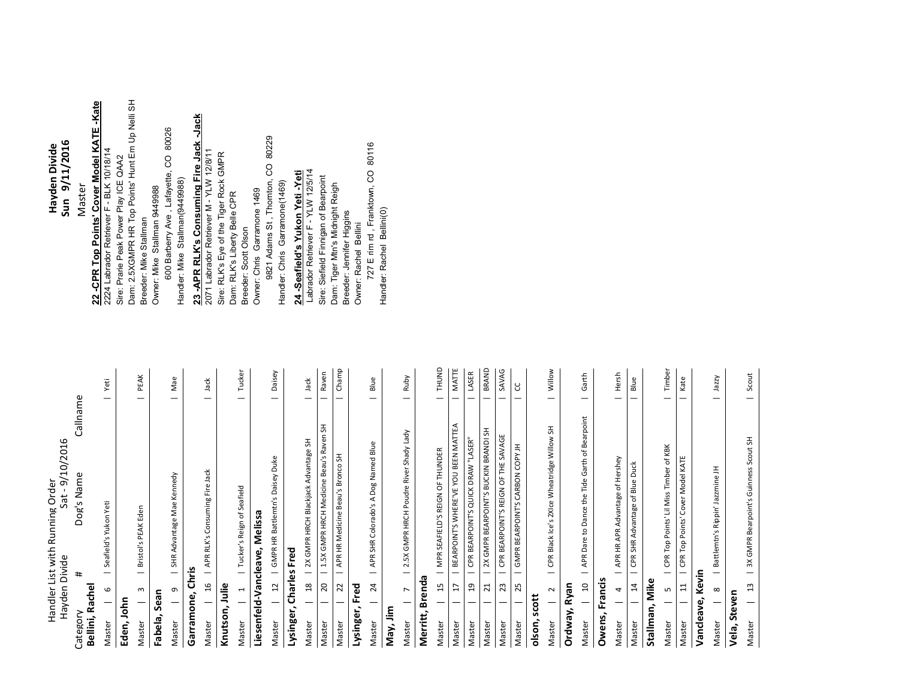|                             | Hayden Divide                 | Sat - 9/10/2016<br>Handler List with Running Order                        |                   |
|-----------------------------|-------------------------------|---------------------------------------------------------------------------|-------------------|
| Bellini, Rachel<br>Category |                               | Callname<br>Dog's Name<br>#                                               |                   |
| Master                      | 6                             | Seafield's Yukon Yeti<br>$\overline{\phantom{0}}$                         | Yeti<br>—         |
| John<br>Eden,               |                               |                                                                           |                   |
| Master                      | ω<br>—                        | Bristol's PEAK Eden                                                       | PEAK              |
| Fabela,                     | Sean                          |                                                                           |                   |
| Master                      | თ<br>$\overline{\phantom{0}}$ | SHR Advantage Mae Kennedy<br>$\overline{\phantom{0}}$                     | Mae<br>—          |
| Garramone, Chris            |                               |                                                                           |                   |
| Master                      | 9t<br>÷.                      | APR RLK's Consuming Fire Jack                                             | Jack<br>—         |
| Knutson, Julie              |                               |                                                                           |                   |
| Master                      | $\frac{1}{\sqrt{1}}$          | Tucker's Reign of Seafield                                                | Tucker<br>—       |
|                             |                               | Liesenfeld-Vancleave, Melissa                                             |                   |
| Master                      | $\overline{c}$<br>—           | GMPR HR Battlemtn's Daisey Duke                                           | Daisey<br>—       |
| Lysinger,                   |                               | Charles Fred                                                              |                   |
| Master                      | $\mathbf{S}$                  | 2X GMPR HRCH Blackjack Advantage SH                                       | Jack              |
| Master                      | $\overline{c}$                | 1.5X GMPR HRCH Medicine Beau's Raven SH<br>$\overline{\phantom{0}}$       | Raven<br>-        |
| Master                      | 22<br>-                       | APR HR Medicine Beau's Bronco SH<br>$\overline{\phantom{0}}$              | Champ<br>—        |
| Lysinger,                   | Fred                          |                                                                           |                   |
| Master                      | 24                            | APR SHR Colorado's A Dog Named Blue<br>$\overline{\phantom{0}}$           | Blue<br>-         |
| May, Jim                    |                               |                                                                           |                   |
| Master                      | $\overline{ }$                | 2.5X GMPR HRCH Poudre River Shady Lady<br>$\overline{\phantom{0}}$        | Ruby<br>—         |
| Merritt,                    | Brenda                        |                                                                           |                   |
| Master                      | 15                            | MPR SEAFIELD'S REIGN OF THUNDER<br>$\overline{\phantom{0}}$               | <b>UNUND</b><br>— |
| Master                      | H                             | BEARPOINT'S WHERE'VE YOU BEEN MATTEA<br>$\overline{\phantom{0}}$          | MATTE<br>-        |
| Master                      | 5J                            | CPR BEARPOINT'S QUICK DRAW "LASER"<br>—                                   | LASER<br>-        |
| Master                      | $\overline{z}$                | 2X GMPR BEARPOINT'S BUCKIN BRANDI SH<br>—                                 | BRAND<br>-        |
| Master                      | 23                            | SAVAGE<br>CPR BEARPOINT'S REIGN OF THE<br>—                               | SAVAG             |
| Master                      | 25                            | GMPR BEARPOINT'S CARBON COPY JH<br>$\overline{\phantom{m}}$               | ყ<br>—            |
| scott<br>olson,             |                               |                                                                           |                   |
| Master                      | $\sim$<br>-                   | CPR Black Ice's 2XIce Wheatridge Willow SH                                | Willow<br>—       |
| Ordway, Ryan                |                               |                                                                           |                   |
| Master                      | $\mathfrak{a}$<br>-           | APR Dare to Dance the Tide Garth of Bearpoint<br>$\overline{\phantom{0}}$ | Garth<br>—        |
| Owens,                      | Francis                       |                                                                           |                   |
| Master                      | 4<br>÷                        | APR HR APR Advantage of Hershey                                           | Hersh             |
| Master                      | $\overline{4}$<br>-           | CPR SHR Advantage of Blue Duck<br>$\overline{\phantom{0}}$                | Blue              |
| Stallman, Mike              |                               |                                                                           |                   |

Master | GPR Top Points' Lil Miss Timber of KBK | Timber Master | 11 | CPR Top Points' Cover Model KATE | Kate

| 5 | CPR Top Points' Lil Miss Timber of KBK | 11 | CPR Top Points' Cover Model KATE

 $|$  Timber

| Kate

**Vancleave, Kevin**

Vancleave, Kevin

Master Master

**Vela, Steven**

Vela, Steven

Master | 8 | Battlemtn's Rippin' Jazzmine JH | Jazzy

| Battlemtn's Rippin' Jazzmine JH

 $\frac{8}{1}$ 

Master

| Jazzy

Master | 3X GMPR Bearpoint's Guinness Scout SH | Scout

| 3X GMPR Bearpoint's Guinness Scout SH

 $\begin{array}{c} 13 \\ -3 \end{array}$ 

Master

Scout

 $\qquad \qquad -$ 

#### Havden Divide<br>Sun 9/11/2016 **Sun 9/11/2016 yden Divide** Master Master

# **22 -CPR Top Points' Cover Model KATE -Kate**

22 -CPR Top Points' Cover Model KATE -Kate<br>2224 Labrador Retriever F - BLK 10/18/14<br>Sire: Prarie Peak Power Play ICE QAA2<br>Dam: 2.5XGMPR HR Top Points' Hunt Em Up Nelli SH<br>Breeder: Mike Stallman<br>Owner: Mike Stallman 9449988 Dam: 2.5XGMPR HR Top Points' Hunt Em Up Nelli SH 2224 Labrador Retriever F - BLK 10/18/14 Sire: Prarie Peak Power Play ICE QAA2 Owner: Mike Stallman 9449988 Breeder: Mike Stallman

600 Barberry Ave, Lafayette, CO 80026 600 Barberry Ave , Lafayette, CO 80026 Handler: Mike Stallman(9449988) Handler: Mike Stallman(9449988)

# **23 -APR RLK's Consuming Fire Jack -Jack**

23 -APR RLK's Consuming Fire Jack -Jack<br>2071 Labrador Retriever M - YLW 12/8/11<br>Sire: RLK's Liberty Belle CPR<br>Dam: RLK's Liberty Belle CPR 9821 Adams St, Thomton, CO 80229 9821 Adams St , Thornton, CO 80229 2071 Labrador Retriever M - YLW 12/8/11 Sire: RLK's Eye of the Tiger Rock GMPR Handler: Chris Garramone(1469) Handler: Chris Garramone(1469) Owner: Chris Garramone 1469 Owner: Chris Garramone 1469 Dam: RLK's Liberty Belle CPR Breeder: Scott Olson Breeder: Scott Olson

## 24 -Seafield's Yukon Yeti -Yeti **24 -Seafield's Yukon Yeti -Yeti**

727 E rim rd , Franktown, CO 80116<br>Handler: Rachel Bellini(0) 727 E rim rd , Franktown, CO 80116 Labrador Retriever F - YLW 12/5/14 Labrador Retriever F - YLW 12/5/14 Sire: Siefield Finnigan of Bearpoint Sire: Siefield Finnigan of Bearpoint Dam: Tiger Mtn's Midnight Reigh Dam: Tiger Mtn's Midnight Reigh Handler: Rachel Bellini(0) Breeder: Jennifer Higgins Breeder: Jennifer Higgins Owner: Rachel Bellini Owner: Rachel Bellini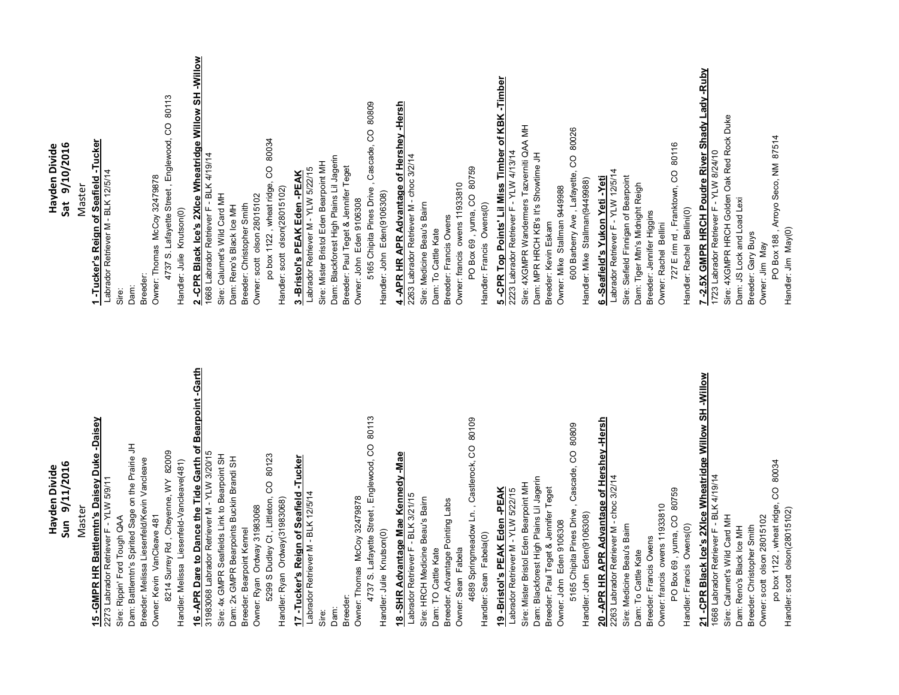| Sun 9/11/2016                                                                                           | Sat 9/10/2016                                                                                    |
|---------------------------------------------------------------------------------------------------------|--------------------------------------------------------------------------------------------------|
| Master                                                                                                  | Master                                                                                           |
| 15 -GMPR HR Battlemtn's Daisey Duke -Daisey<br>2273 Labrador Retriever F - YLW 5/9/11                   | 1 -Tucker's Reign of Seafield -Tucker<br>Labrador Retriever M - BLK 12/5/14                      |
| Sire: Rippin' Ford Tough QAA                                                                            | Sire:                                                                                            |
| Dam: Battlemtn's Spirited Sage on the Prairie JH                                                        | Dam:                                                                                             |
| Breeder: Melissa Liesenfeld/Kevin Vancleave                                                             | Breeder:                                                                                         |
| Owner: Kevin VanCleave 481                                                                              | Owner: Thomas McCoy 32479878                                                                     |
| 8214 Surrey Rd, Cheyenne, WY 82009<br>Handler: Melissa Liesenfeld-Vancleave(481)                        | 4737 S. Lafayette Street, Englewood, CO 80113<br>Handler: Julie Knutson(0)                       |
|                                                                                                         |                                                                                                  |
| 16 -APR Dare to Dance the Tide Garth of Bearpoint -Garth<br>31983068 Labrador Retriever M - YLW 3/20/15 | 2 -CPR Black Ice's 2XIce Wheatridge Willow SH -Willow<br>1668 Labrador Retriever F - BLK 4/19/14 |
| Sire: 4x GMPR Seafields Link to Bearpoint SH                                                            | Sire: Calumet's Wild Card MH                                                                     |
| Dam: 2x GMPR Bearpoints Buckin Brandi SH                                                                | Dam: Reno's Black Ice MH                                                                         |
| Breeder: Bearpoint Kennel                                                                               | Breeder: Christopher Smith                                                                       |
| Owner: Ryan Ordway 31983068                                                                             | Owner: scott olson 28015102                                                                      |
| CO 80123<br>5299 S Dudley Ct, Littleton,<br>Handler: Ryan Ordway(31983068)                              | CO 80034<br>po box 1122, wheat ridge,<br>Handler: scott olson(28015102)                          |
| 17 -Tucker's Reign of Seafield -Tucker                                                                  | 3 -Bristol's PEAK Eden -PEAK                                                                     |
| Labrador Retriever M - BLK 12/5/14                                                                      | Labrador Retriever M - YLW 5/22/15                                                               |
| Sire:                                                                                                   | Sire: Mister Bristol Eden Bearpoint MH                                                           |
| Dam:                                                                                                    | Dam: Blackforest High Plains Lil Jagerin                                                         |
| Owner: Thomas McCoy 32479878<br>Breeder:                                                                | Breeder: Paul Teget & Jennifer Teget<br>Owner: John Eden 9106308                                 |
| 4737 S. Lafayette Street, Englewood, CO 80113                                                           | 5165 Chipita Pines Drive, Cascade, CO 80809                                                      |
| Handler: Julie Knutson(0)                                                                               | Handler: John Eden(9106308)                                                                      |
| 18 -SHR Advantage Mae Kennedy -Mae                                                                      | 4 -APR HR APR Advantage of Hershey -Hersh                                                        |
| Labrador Retriever F - BLK 3/21/15                                                                      | 2263 Labrador Retriever M - choc 3/2/14                                                          |
| Sire: HRCH Medicine Beau's Bairn                                                                        | Sire: Medicine Beau's Baim                                                                       |
| Breeder: Advantage Pointing Labs<br>Dam: TO Cattle Kate                                                 | Breeder: Francis Owens<br>Dam: To Cattle Kate                                                    |
| Owner: Sean Fabela                                                                                      | Owner: francis owens 11933810                                                                    |
| 4689 Springmeadow Ln., Castlerock, CO 80109                                                             | PO Box 69, yuma, CO 80759                                                                        |
| Handler: Sean Fabela(0)                                                                                 | Handler: Francis Owens(0)                                                                        |
| 19 -Bristol's PEAK Eden -PEAK                                                                           | 5 -CPR Top Points' Lil Miss Timber of KBK -Timber<br>2223 Labrador Retriever F - YLW 4/13/14     |
| Labrador Retriever M - YLW 5/22/15                                                                      |                                                                                                  |
| Sire: Mister Bristol Eden Bearpoint MH                                                                  | Sire: 4XGMPR Wandermers Tazverniti QAA MH                                                        |
| Dam: Blackforest High Plains Lil Jagerin<br>Breeder: Paul Teget & Jennifer Teget                        | Dam: MPR HRCH KB's It's Showtime JH<br>Breeder: Kevin Eskam                                      |
| Owner: John Eden 9106308                                                                                | Owner: Mike Stallman 9449988                                                                     |
| 5165 Chipita Pines Drive, Cascade, CO 80809                                                             | 600 Barberry Ave, Lafayette, CO 80026                                                            |
| Handler: John Eden(9106308)                                                                             | Handler: Mike Stallman(9449988)                                                                  |
| 20 -APR HR APR Advantage of Hershey -Hersh                                                              | 6 -Seafield's Yukon Yeti -Yeti                                                                   |
| 2263 Labrador Retriever M - choc 3/2/14<br>Sire: Medicine Beau's Baim                                   | Labrador Retriever F - YLW 12/5/14<br>Sire: Siefield Finnigan of Bearpoint                       |
| Dam: To Cattle Kate                                                                                     | Dam: Tiger Mtn's Midnight Reigh                                                                  |
| Breeder: Francis Owens                                                                                  | Breeder: Jennifer Higgins                                                                        |
| Owner: francis owens 11933810                                                                           | Owner: Rachel Bellini                                                                            |
| PO Box 69, yuma, CO 80759                                                                               | 727 E rim rd, Franktown, CO 80116                                                                |
| Handler: Francis Owens(0)                                                                               | Handler: Rachel Bellini(0)                                                                       |
| 21 -CPR Black Ice's 2XIce Wheatridge Willow SH -Willow<br>1668 Labrador Retriever F - BLK 4/19/14       | 7 -2.5X GMPR HRCH Poudre River Shady Lady -Ruby<br>1723 Labrador Retriever F - YLW 8/24/10       |
| Sire: Calumet's Wild Card MH                                                                            | Sire: 4XGMPR HRCH Golden Oak Red Rock Duke                                                       |
| Dam: Reno's Black loe MH                                                                                | Dam: JS Lock and Load Lexi                                                                       |
| Breeder: Christopher Smith                                                                              | Breeder: Gary Buys                                                                               |
| po box 1122, wheat ridge, CO 80034<br>Owner: scott olson 28015102                                       | PO Box 188, Arroyo Seco, NM 87514<br>Owner: Jim May                                              |
| Handler: scott_olson(28015102)                                                                          | Handler: Jim May(0)                                                                              |

**Ha**

**Ha**

**yden Divide**

**yden Divide**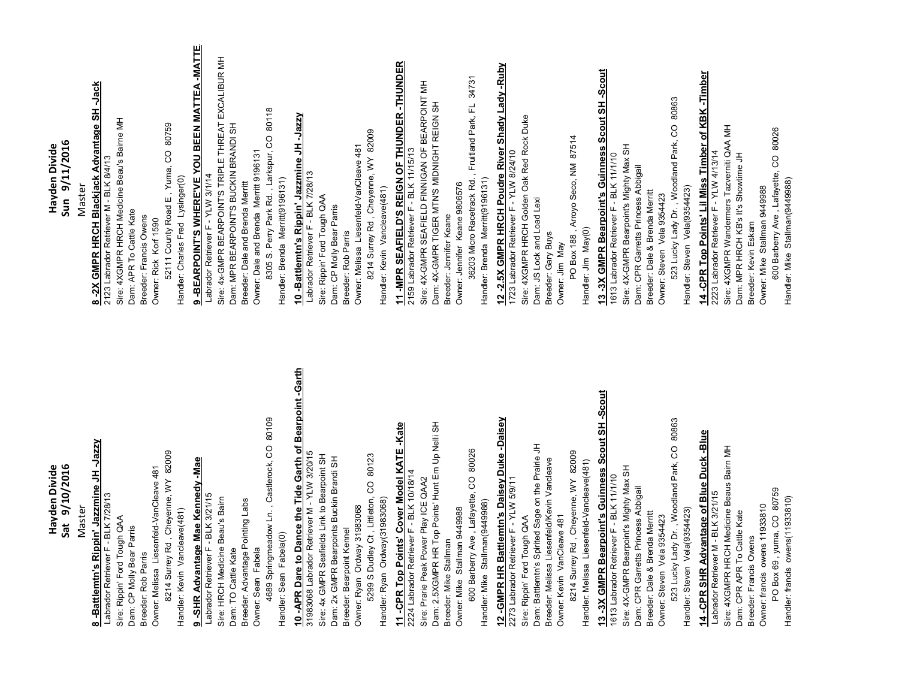| Sat 9/10/2016<br>Havden Divide                                                                          | Sun 9/11/2016<br>Hayden Divide                                                                |
|---------------------------------------------------------------------------------------------------------|-----------------------------------------------------------------------------------------------|
| Master                                                                                                  | Master                                                                                        |
| -Jazzy<br>8 -Battlemtn's Rippin' Jazzmine JH                                                            | -Jack<br>-2X GMPR HRCH Blackjack Advantage SH                                                 |
| Labrador Retriever F - BLK 7/28/13                                                                      | 2123 Labrador Retriever M - BLK 8/4/13                                                        |
| Sire: Rippin' Ford Tough QAA<br>Dam: CP Molly Bear Parris                                               | Sire: 4XGMPR HRCH Medicine Beau's Bairne MH<br>Dam: APR To Cattle Kate                        |
| Breeder: Rob Parris                                                                                     | Breeder: Francis Owens                                                                        |
| Owner: Melissa Liesenfeld-VanCleave 481                                                                 | Owner: Rick Korf 1590                                                                         |
| 8214 Surrey Rd, Cheyenne, WY 82009                                                                      | 52111 County Road E, Yuma, CO 80759                                                           |
| Handler: Kevin Vancleave(481)                                                                           | Handler: Charles Fred Lysinger(0)                                                             |
| 9 -SHR Advantage Mae Kennedy -Mae                                                                       | 9 - BEARPOINT'S WHERE'VE YOU BEEN MATTEA - MATTE                                              |
| Labrador Retriever F - BLK 3/21/15<br>Sire: HRCH Medicine Beau's Bairn                                  | Sire: 4x-GMPR BEARPOINT'S TRIPLE THREAT EXCALIBUR MH<br>Labrador Retriever F - YLW 3/1/14     |
| Dam: TO Cattle Kate                                                                                     | Dam: MPR BEARPOINT'S BUCKIN BRANDI SH                                                         |
| Breeder: Advantage Pointing Labs                                                                        | Breeder: Dale and Brenda Merritt                                                              |
| Owner: Sean Fabela                                                                                      | Owner: Dale and Brenda Merritt 9196131                                                        |
| 4689 Springmeadow Ln., Castlerock, CO 80109<br>Handler: Sean Fabela(0)                                  | 8305 S. Perry Park Rd., Larkspur, CO 80118<br>Handler: Brenda Merritt(9196131)                |
| 10 -APR Dare to Dance the Tide Garth of Bearpoint -Garth<br>31983068 Labrador Retriever M - YLW 3/20/15 | 10 -Battlemtn's Rippin' Jazzmine JH -Jazzy<br>Labrador Retriever F - BLK 7/28/13              |
| Sire: 4x GMPR Seafields Link to Bearpoint SH                                                            | Sire: Rippin' Ford Tough QAA                                                                  |
| Dam: 2x GMPR Bearpoints Buckin Brandi SH                                                                | Dam: CP Molly Bear Parris                                                                     |
| Owner: Ryan Ordway 31983068<br>Breeder: Bearpoint Kennel                                                | Owner: Melissa Liesenfeld-VanCleave 481<br>Breeder: Rob Parris                                |
| 5299 S Dudley Ct, Littleton, CO 80123                                                                   | 8214 Surrey Rd, Cheyenne, WY 82009                                                            |
| Handler: Ryan Ordway(31983068)                                                                          | Handler: Kevin Vancleave(481)                                                                 |
| 11 -CPR Top Points' Cover Model KATE -Kate                                                              | 11 - MPR SEAFIELD'S REIGN OF THUNDER - THUNDER                                                |
| 2224 Labrador Retriever F - BLK 10/18/14                                                                | 2159 Labrador Retriever F - BLK 11/15/13                                                      |
| Sire: Prarie Peak Power Play ICE QAA2                                                                   | Sire: 4X-GMPR SEAFIELD FINNIGAN OF BEARPOINT MH                                               |
| Dam: 2.5XGMPR HR Top Points' Hunt Em Up Nelli SH                                                        | Dam: 4X-GMPR TIGER MTN'S MIDNIGHT REIGN SH                                                    |
| Owner: Mike Stallman 9449988<br>Breeder: Mike Stallman                                                  | Owner: Jennifer Keane 9806576<br>Breeder: Jennifer Keane                                      |
| CO 80026<br>600 Barberry Ave, Lafayette,                                                                | Fruitland Park, FL 34731<br>36203 Micro Racetrack Rd.                                         |
| Handler: Mike Stallman(9449988)                                                                         | Handler: Brenda Merritt(9196131)                                                              |
| 12 -GMPR HR Battlemtn's Daisey Duke -Daisey<br>2273 Labrador Retriever F - YLW 5/9/11                   | 12-2.5X GMPR HRCH Poudre River Shady Lady -Ruby<br>1723 Labrador Retriever F - YLW 8/24/10    |
| Sire: Rippin' Ford Tough QAA                                                                            | Sire: 4XGMPR HRCH Golden Oak Red Rock Duke                                                    |
| Dam: Battlemtn's Spirited Sage on the Prairie JH                                                        | Dam: JS Lock and Load Lexi                                                                    |
| Breeder: Melissa Liesenfeld/Kevin Vancleave                                                             | Breeder: Gary Buys                                                                            |
| 8214 Surrey Rd, Cheyenne, WY 82009<br>Owner: Kevin VanCleave 481                                        | PO Box 188, Arroyo Seco, NM 87514<br>Owner: Jim May                                           |
| Handler: Melissa Liesenfeld-Vancleave(481)                                                              | Handler: Jim May(0)                                                                           |
| 13 -3X GMPR Bearpoint's Guinness Scout SH -Scout<br>1613 Labrador Retriever F - BLK 11/1/10             | 13-3X GMPR Bearpoint's Guinness Scout SH-Scout                                                |
|                                                                                                         | 1613 Labrador Retriever F - BLK 11/1/10                                                       |
| Sire: 4X-GMPR Bearpoint's Mighty Max SH<br>Dam: CPR Garretts Princess Abbigail                          | Sire: 4X-GMPR Bearpoint's Mighty Max SH<br>Dam: CPR Garretts Princess Abbigail                |
| Breeder: Dale & Brenda Merritt                                                                          | Breeder: Dale & Brenda Merritt                                                                |
| Owner: Steven Vela 9354423                                                                              | Owner: Steven Vela 9354423                                                                    |
| 523 Lucky Lady Dr., Woodland Park, CO 80863                                                             | 523 Lucky Lady Dr., Woodland Park, CO 80863                                                   |
| Handler: Steven Vela(9354423)                                                                           | Handler: Steven Vela(9354423)                                                                 |
| 14 -CPR SHR Advantage of Blue Duck -Blue<br>Labrador Retriever M - BLK 3/21/15                          | 14 -CPR Top Points' Lil Miss Timber of KBK -Timber<br>2223 Labrador Retriever F - YLW 4/13/14 |
| Sire: 4XGMPR HRCH Medicine Beaus Baim MH                                                                | Sire: 4XGMPR Wandermers Tazverniti QAA MH                                                     |
| Dam: CPR APR To Cattle Kate<br>Breeder: Francis Owens                                                   | Dam: MPR HRCH KB's It's Showtime JH<br>Breeder: Kevin Eskam                                   |
| Owner: francis owens 11933810                                                                           | Owner: Mike Stallman 9449988                                                                  |
| PO Box 69, yuma, CO 80759                                                                               | 600 Barberry Ave, Lafayette, CO 80026                                                         |
| Handler: francis owens(11933810)                                                                        | Handler: Mike Stallman(9449988)                                                               |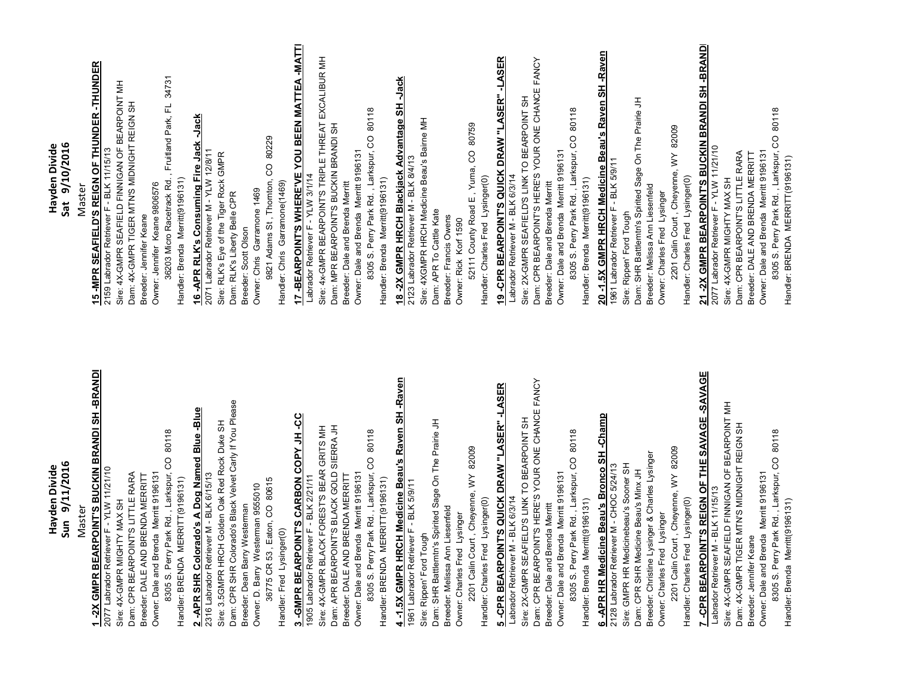| Sun 9/11/2016                                                                                              | Sat 9/10/2016                                                                               |
|------------------------------------------------------------------------------------------------------------|---------------------------------------------------------------------------------------------|
| Master                                                                                                     | Master                                                                                      |
| 1-2X GMPR BEARPOINT'S BUCKIN BRANDI SH-BRANDI<br>2077 Labrador Retriever F - YLW 11/21/10                  | 15 - MPR SEAFIELD'S REIGN OF THUNDER - THUNDER                                              |
| Sire: 4X-GMPR MIGHTY MAX SH                                                                                | Sire: 4X-GMPR SEAFIELD FINNIGAN OF BEARPOINT MH<br>2159 Labrador Retriever F - BLK 11/15/13 |
| Dam: CPR BEARPOINT'S LITTLE RARA                                                                           | Dam: 4X-GMPR TIGER MTN'S MIDNIGHT REIGN SH                                                  |
| Breeder: DALE AND BRENDA MERRITT                                                                           | Breeder: Jennifer Keane                                                                     |
| 8305 S. Perry Park Rd., Larkspur, CO 80118<br>Owner: Dale and Brenda Merritt 9196131                       | Owner: Jennifer Keane 9806576                                                               |
| Handler: BRENDA MERRITT(9196131)                                                                           | 36203 Micro Racetrack Rd., Fruitland Park, FL 34731<br>Handler: Brenda Merritt(9196131)     |
| 2_APR SHR Colorado's A_Dog Named Blue -Blue<br>2316 Labrador Retriever M - BLK 6/15/13                     | 16 -APR RLK's Consuming Fire Jack -Jack                                                     |
|                                                                                                            | 2071 Labrador Retriever M - YLW 12/8/11                                                     |
| Dam: CPR SHR Colorado's Black Velvet Carly If You Please<br>Sire: 3.5GMPR HRCH Golden Oak Red Rock Duke SH | Sire: RLK's Eye of the Tiger Rock GMPR<br>Dam: RLK's Liberty Belle CPR                      |
| Breeder: Dean Barry Westerman                                                                              | Breeder: Scott Olson                                                                        |
| Owner: D. Barry Westerman 9555010                                                                          | Owner: Chris Garramone 1469                                                                 |
| 36775 CR 53, Eaton, CO 80615                                                                               | 9821 Adams St, Thomton, CO 80229                                                            |
| Handler: Fred Lysinger(0)                                                                                  | Handler: Chris Garramone(1469)                                                              |
| 3 - GMPR BEARPOINT'S CARBON COPY JH -CC<br>1905 Labrador Retriever F - BLK 2/21/11                         | 17 - BEARPOINT'S WHERE'VE YOU BEEN MATTEA -MATTI<br>Labrador Retriever F - YLW 3/1/14       |
| Sire: 4X-GMPR BLACK FOREST'S BEAR GRITS MH                                                                 | Sire: 4x-GMPR BEARPOINT'S TRIPLE THREAT EXCALIBUR MH                                        |
| Dam: APR BEARPOINT'S BLACK GOLD SIERRA JH                                                                  | Dam: MPR BEARPOINT'S BUCKIN BRANDI SH                                                       |
| Breeder: DALE AND BRENDA MERRITT                                                                           | Breeder: Dale and Brenda Merritt                                                            |
| Owner: Dale and Brenda Merritt 9196131                                                                     | Owner: Dale and Brenda Merritt 9196131                                                      |
| 8305 S. Perry Park Rd., Larkspur, CO 80118<br>Handler: BRENDA MERRITT(9196131)                             | 8305 S. Perry Park Rd., Larkspur, CO 80118<br>Handler: Brenda Merritt(9196131)              |
|                                                                                                            | 18 - 2X GMPR HRCH Blackjack Advantage SH - Jack                                             |
| 4 -1.5X GMPR HRCH Medicine Beau's Raven SH -Raven<br>1961 Labrador Retriever F - BLK 5/9/11                | 2123 Labrador Retriever M - BLK 8/4/13                                                      |
| Sire: Rippen' Ford Tough                                                                                   | Sire: 4XGMPR HRCH Medicine Beau's Bairne MH                                                 |
| Dam: SHR Battlemtn's Spirited Sage On The Prairie JH                                                       | Dam: APR To Cattle Kate                                                                     |
| Breeder: Melissa Ann Liesenfeld<br>Owner: Charles Fred Lysinger                                            | Breeder: Francis Owens<br>Owner: Rick Korf 1590                                             |
| 2201 Calin Court, Cheyenne, WY 82009                                                                       | 52111 County Road E, Yuma, CO 80759                                                         |
| Handler: Charles Fred Lysinger(0)                                                                          | Handler: Charles Fred Lysinger(0)                                                           |
| 5 - CPR BEARPOINT'S QUICK DRAW "LASER" - LASER                                                             | 19 -CPR BEARPOINT'S QUICK DRAW "LASER" -LASER                                               |
| Labrador Retriever M - BLK 6/3/14                                                                          | Labrador Retriever M - BLK 6/3/14                                                           |
| Sire: 2X-GMPR SEAFIELD'S LINK TO BEARPOINT SH                                                              | Sire: 2X-GMPR SEAFIELD'S LINK TO BEARPOINT SH                                               |
| Dam: CPR BEARPOINT'S HERE'S YOUR ONE CHANCE FANCY                                                          | Dam: CPR BEARPOINT'S HERE'S YOUR ONE CHANCE FANCY                                           |
| Owner: Dale and Brenda Merritt 9196131<br>Breeder: Dale and Brenda Merritt                                 | Owner: Dale and Brenda Merritt 9196131<br>Breeder: Dale and Brenda Merritt                  |
| 8305 S. Perry Park Rd., Larkspur, CO 80118                                                                 | 8305 S. Perry Park Rd., Larkspur, CO 80118                                                  |
| Handler: Brenda Merritt(9196131)                                                                           | Handler: Brenda Merritt(9196131)                                                            |
| 6 -APR HR Medicine Beau's Bronco SH -Champ<br>2128 Labrador Retriever M - CHOC 5/24/13                     | 20-1.5X GMPR HRCH Medicine Beau's Raven SH -Raven                                           |
|                                                                                                            | 1961 Labrador Retriever F - BLK 5/9/11                                                      |
| Sire: GMPR HR Medicinebeau's Sooner SH<br>Dam: CPR SHR Medicine Beau's Minx JH                             | Dam: SHR Battlemtn's Spirited Sage On The Prairie JH<br>Sire: Rippen' Ford Tough            |
| Breeder: Christine Lysinger & Charles Lysinger                                                             | Breeder: Melissa Ann Liesenfeld                                                             |
| Owner: Charles Fred Lysinger                                                                               | Owner: Charles Fred Lysinger                                                                |
| 2201 Calin Court, Cheyenne, WY 82009                                                                       | 2201 Calin Court, Cheyenne, WY 82009                                                        |
| Handler: Charles Fred Lysinger(0)                                                                          | Handler: Charles Fred Lysinger(0)                                                           |
| 7 -CPR BEARPOINT'S REIGN OF THE SAVAGE -SAVAGE<br>Labrador Retriever M - BLK 11/15/13                      | 21-2X GMPR BEARPOINT'S BUCKIN BRANDI SH-BRAND<br>2077 Labrador Retriever F - YLW 11/21/10   |
| Sire: 4X-GMPR SEAFIELD FINNIGAN OF BEARPOINT MH                                                            | Sire: 4X-GMPR MIGHTY MAX SH                                                                 |
| Dam: 4X-GMPR TIGER MTN'S MIDNIGHT REIGN SH                                                                 | Dam: CPR BEARPOINT'S LITTLE RARA<br>Breeder: DALE AND BRENDA MERRITT                        |
| Owner: Dale and Brenda Merritt 9196131<br>Breeder: Jennifer Keane                                          | Owner: Dale and Brenda Merritt 9196131                                                      |
| 8305 S. Perry Park Rd., Larkspur, CO 80118                                                                 | 8305 S. Perry Park Rd., Larkspur, CO 80118                                                  |
| Handler: Brenda Merritt(9196131)                                                                           | Handler: BRENDA MERRITT(9196131)                                                            |

**Ha**

**Ha**

**yden Divide**

**yden Divide**